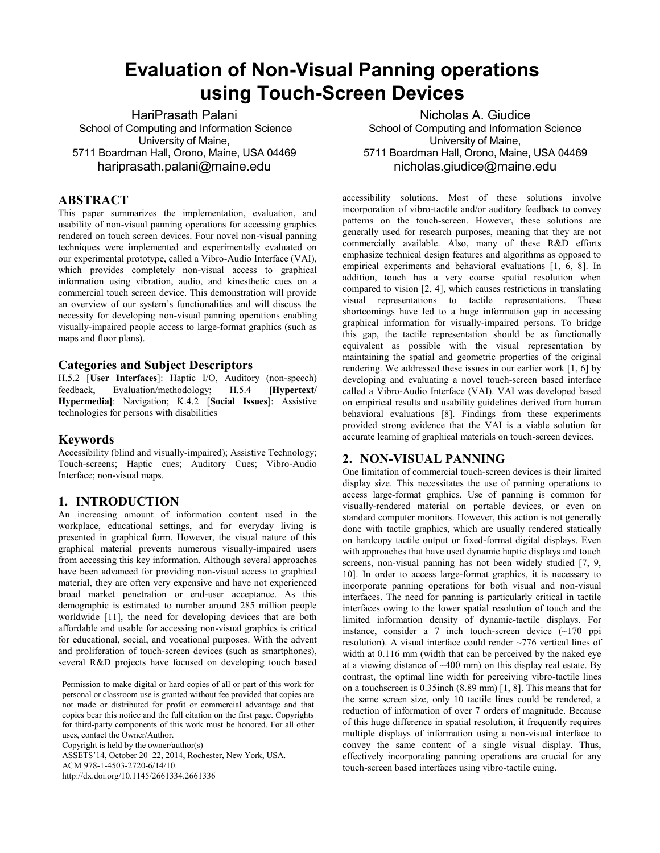# **Evaluation of Non-Visual Panning operations using Touch-Screen Devices**

HariPrasath Palani School of Computing and Information Science University of Maine, 5711 Boardman Hall, Orono, Maine, USA 04469 hariprasath.palani@maine.edu

#### **ABSTRACT**

This paper summarizes the implementation, evaluation, and usability of non-visual panning operations for accessing graphics rendered on touch screen devices. Four novel non-visual panning techniques were implemented and experimentally evaluated on our experimental prototype, called a Vibro-Audio Interface (VAI), which provides completely non-visual access to graphical information using vibration, audio, and kinesthetic cues on a commercial touch screen device. This demonstration will provide an overview of our system's functionalities and will discuss the necessity for developing non-visual panning operations enabling visually-impaired people access to large-format graphics (such as maps and floor plans).

#### **Categories and Subject Descriptors**

H.5.2 [**User Interfaces**]: Haptic I/O, Auditory (non-speech) feedback, Evaluation/methodology; H.5.4 **[Hypertext/ Hypermedia]**: Navigation; K.4.2 [**Social Issues**]: Assistive technologies for persons with disabilities

# **Keywords**

Accessibility (blind and visually-impaired); Assistive Technology; Touch-screens; Haptic cues; Auditory Cues; Vibro-Audio Interface; non-visual maps.

# **1. INTRODUCTION**

An increasing amount of information content used in the workplace, educational settings, and for everyday living is presented in graphical form. However, the visual nature of this graphical material prevents numerous visually-impaired users from accessing this key information. Although several approaches have been advanced for providing non-visual access to graphical material, they are often very expensive and have not experienced broad market penetration or end-user acceptance. As this demographic is estimated to number around 285 million people worldwide [11], the need for developing devices that are both affordable and usable for accessing non-visual graphics is critical for educational, social, and vocational purposes. With the advent and proliferation of touch-screen devices (such as smartphones), several R&D projects have focused on developing touch based

Permission to make digital or hard copies of all or part of this work for personal or classroom use is granted without fee provided that copies are not made or distributed for profit or commercial advantage and that copies bear this notice and the full citation on the first page. Copyrights for third-party components of this work must be honored. For all other uses, contact the Owner/Author. Copyright is held by the owner/author(s)

ASSETS'14, October 20–22, 2014, Rochester, New York, USA. ACM 978-1-4503-2720-6/14/10.

http://dx.doi.org/10.1145/2661334.2661336

Nicholas A. Giudice School of Computing and Information Science University of Maine, 5711 Boardman Hall, Orono, Maine, USA 04469 nicholas.giudice@maine.edu

accessibility solutions. Most of these solutions involve incorporation of vibro-tactile and/or auditory feedback to convey patterns on the touch-screen. However, these solutions are generally used for research purposes, meaning that they are not commercially available. Also, many of these R&D efforts emphasize technical design features and algorithms as opposed to empirical experiments and behavioral evaluations [1, 6, 8]. In addition, touch has a very coarse spatial resolution when compared to vision [2, 4], which causes restrictions in translating visual representations to tactile representations. These shortcomings have led to a huge information gap in accessing graphical information for visually-impaired persons. To bridge this gap, the tactile representation should be as functionally equivalent as possible with the visual representation by maintaining the spatial and geometric properties of the original rendering. We addressed these issues in our earlier work [1, 6] by developing and evaluating a novel touch-screen based interface called a Vibro-Audio Interface (VAI). VAI was developed based on empirical results and usability guidelines derived from human behavioral evaluations [8]. Findings from these experiments provided strong evidence that the VAI is a viable solution for accurate learning of graphical materials on touch-screen devices.

# **2. NON-VISUAL PANNING**

One limitation of commercial touch-screen devices is their limited display size. This necessitates the use of panning operations to access large-format graphics. Use of panning is common for visually-rendered material on portable devices, or even on standard computer monitors. However, this action is not generally done with tactile graphics, which are usually rendered statically on hardcopy tactile output or fixed-format digital displays. Even with approaches that have used dynamic haptic displays and touch screens, non-visual panning has not been widely studied [7, 9, 10]. In order to access large-format graphics, it is necessary to incorporate panning operations for both visual and non-visual interfaces. The need for panning is particularly critical in tactile interfaces owing to the lower spatial resolution of touch and the limited information density of dynamic-tactile displays. For instance, consider a  $7$  inch touch-screen device  $(-170 \text{ ppi})$ resolution). A visual interface could render ~776 vertical lines of width at 0.116 mm (width that can be perceived by the naked eye at a viewing distance of  $\sim$ 400 mm) on this display real estate. By contrast, the optimal line width for perceiving vibro-tactile lines on a touchscreen is 0.35inch (8.89 mm) [1, 8]. This means that for the same screen size, only 10 tactile lines could be rendered, a reduction of information of over 7 orders of magnitude. Because of this huge difference in spatial resolution, it frequently requires multiple displays of information using a non-visual interface to convey the same content of a single visual display. Thus, effectively incorporating panning operations are crucial for any touch-screen based interfaces using vibro-tactile cuing.